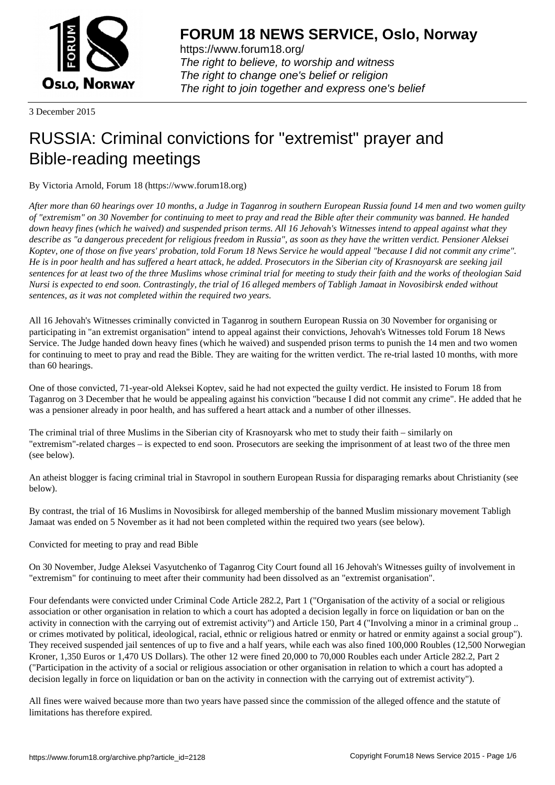

https://www.forum18.org/ The right to believe, to worship and witness The right to change one's belief or religion [The right to join together a](https://www.forum18.org/)nd express one's belief

3 December 2015

## [RUSSIA: Crimin](https://www.forum18.org)al convictions for "extremist" prayer and Bible-reading meetings

By Victoria Arnold, Forum 18 (https://www.forum18.org)

*After more than 60 hearings over 10 months, a Judge in Taganrog in southern European Russia found 14 men and two women guilty of "extremism" on 30 November for continuing to meet to pray and read the Bible after their community was banned. He handed down heavy fines (which he waived) and suspended prison terms. All 16 Jehovah's Witnesses intend to appeal against what they describe as "a dangerous precedent for religious freedom in Russia", as soon as they have the written verdict. Pensioner Aleksei Koptev, one of those on five years' probation, told Forum 18 News Service he would appeal "because I did not commit any crime". He is in poor health and has suffered a heart attack, he added. Prosecutors in the Siberian city of Krasnoyarsk are seeking jail sentences for at least two of the three Muslims whose criminal trial for meeting to study their faith and the works of theologian Said Nursi is expected to end soon. Contrastingly, the trial of 16 alleged members of Tabligh Jamaat in Novosibirsk ended without sentences, as it was not completed within the required two years.*

All 16 Jehovah's Witnesses criminally convicted in Taganrog in southern European Russia on 30 November for organising or participating in "an extremist organisation" intend to appeal against their convictions, Jehovah's Witnesses told Forum 18 News Service. The Judge handed down heavy fines (which he waived) and suspended prison terms to punish the 14 men and two women for continuing to meet to pray and read the Bible. They are waiting for the written verdict. The re-trial lasted 10 months, with more than 60 hearings.

One of those convicted, 71-year-old Aleksei Koptev, said he had not expected the guilty verdict. He insisted to Forum 18 from Taganrog on 3 December that he would be appealing against his conviction "because I did not commit any crime". He added that he was a pensioner already in poor health, and has suffered a heart attack and a number of other illnesses.

The criminal trial of three Muslims in the Siberian city of Krasnoyarsk who met to study their faith – similarly on "extremism"-related charges – is expected to end soon. Prosecutors are seeking the imprisonment of at least two of the three men (see below).

An atheist blogger is facing criminal trial in Stavropol in southern European Russia for disparaging remarks about Christianity (see below).

By contrast, the trial of 16 Muslims in Novosibirsk for alleged membership of the banned Muslim missionary movement Tabligh Jamaat was ended on 5 November as it had not been completed within the required two years (see below).

Convicted for meeting to pray and read Bible

On 30 November, Judge Aleksei Vasyutchenko of Taganrog City Court found all 16 Jehovah's Witnesses guilty of involvement in "extremism" for continuing to meet after their community had been dissolved as an "extremist organisation".

Four defendants were convicted under Criminal Code Article 282.2, Part 1 ("Organisation of the activity of a social or religious association or other organisation in relation to which a court has adopted a decision legally in force on liquidation or ban on the activity in connection with the carrying out of extremist activity") and Article 150, Part 4 ("Involving a minor in a criminal group .. or crimes motivated by political, ideological, racial, ethnic or religious hatred or enmity or hatred or enmity against a social group"). They received suspended jail sentences of up to five and a half years, while each was also fined 100,000 Roubles (12,500 Norwegian Kroner, 1,350 Euros or 1,470 US Dollars). The other 12 were fined 20,000 to 70,000 Roubles each under Article 282.2, Part 2 ("Participation in the activity of a social or religious association or other organisation in relation to which a court has adopted a decision legally in force on liquidation or ban on the activity in connection with the carrying out of extremist activity").

All fines were waived because more than two years have passed since the commission of the alleged offence and the statute of limitations has therefore expired.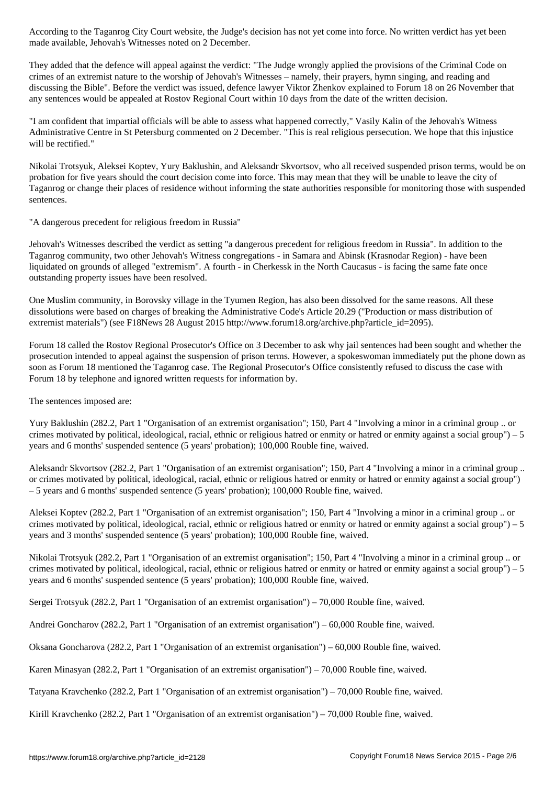They added that the defence will appeal against the verdict: "The Judge wrongly applied the provisions of the Criminal Code on crimes of an extremist nature to the worship of Jehovah's Witnesses – namely, their prayers, hymn singing, and reading and discussing the Bible". Before the verdict was issued, defence lawyer Viktor Zhenkov explained to Forum 18 on 26 November that any sentences would be appealed at Rostov Regional Court within 10 days from the date of the written decision.

"I am confident that impartial officials will be able to assess what happened correctly," Vasily Kalin of the Jehovah's Witness Administrative Centre in St Petersburg commented on 2 December. "This is real religious persecution. We hope that this injustice will be rectified."

Nikolai Trotsyuk, Aleksei Koptev, Yury Baklushin, and Aleksandr Skvortsov, who all received suspended prison terms, would be on probation for five years should the court decision come into force. This may mean that they will be unable to leave the city of Taganrog or change their places of residence without informing the state authorities responsible for monitoring those with suspended sentences.

"A dangerous precedent for religious freedom in Russia"

made available, Jehovah's Witnesses noted on 2 December.

Jehovah's Witnesses described the verdict as setting "a dangerous precedent for religious freedom in Russia". In addition to the Taganrog community, two other Jehovah's Witness congregations - in Samara and Abinsk (Krasnodar Region) - have been liquidated on grounds of alleged "extremism". A fourth - in Cherkessk in the North Caucasus - is facing the same fate once outstanding property issues have been resolved.

One Muslim community, in Borovsky village in the Tyumen Region, has also been dissolved for the same reasons. All these dissolutions were based on charges of breaking the Administrative Code's Article 20.29 ("Production or mass distribution of extremist materials") (see F18News 28 August 2015 http://www.forum18.org/archive.php?article\_id=2095).

Forum 18 called the Rostov Regional Prosecutor's Office on 3 December to ask why jail sentences had been sought and whether the prosecution intended to appeal against the suspension of prison terms. However, a spokeswoman immediately put the phone down as soon as Forum 18 mentioned the Taganrog case. The Regional Prosecutor's Office consistently refused to discuss the case with Forum 18 by telephone and ignored written requests for information by.

The sentences imposed are:

Yury Baklushin (282.2, Part 1 "Organisation of an extremist organisation"; 150, Part 4 "Involving a minor in a criminal group .. or crimes motivated by political, ideological, racial, ethnic or religious hatred or enmity or hatred or enmity against a social group") – 5 years and 6 months' suspended sentence (5 years' probation); 100,000 Rouble fine, waived.

Aleksandr Skvortsov (282.2, Part 1 "Organisation of an extremist organisation"; 150, Part 4 "Involving a minor in a criminal group .. or crimes motivated by political, ideological, racial, ethnic or religious hatred or enmity or hatred or enmity against a social group") – 5 years and 6 months' suspended sentence (5 years' probation); 100,000 Rouble fine, waived.

Aleksei Koptev (282.2, Part 1 "Organisation of an extremist organisation"; 150, Part 4 "Involving a minor in a criminal group .. or crimes motivated by political, ideological, racial, ethnic or religious hatred or enmity or hatred or enmity against a social group") – 5 years and 3 months' suspended sentence (5 years' probation); 100,000 Rouble fine, waived.

Nikolai Trotsyuk (282.2, Part 1 "Organisation of an extremist organisation"; 150, Part 4 "Involving a minor in a criminal group .. or crimes motivated by political, ideological, racial, ethnic or religious hatred or enmity or hatred or enmity against a social group") – 5 years and 6 months' suspended sentence (5 years' probation); 100,000 Rouble fine, waived.

Sergei Trotsyuk (282.2, Part 1 "Organisation of an extremist organisation") – 70,000 Rouble fine, waived.

Andrei Goncharov (282.2, Part 1 "Organisation of an extremist organisation") – 60,000 Rouble fine, waived.

Oksana Goncharova (282.2, Part 1 "Organisation of an extremist organisation") – 60,000 Rouble fine, waived.

Karen Minasyan (282.2, Part 1 "Organisation of an extremist organisation") – 70,000 Rouble fine, waived.

Tatyana Kravchenko (282.2, Part 1 "Organisation of an extremist organisation") – 70,000 Rouble fine, waived.

Kirill Kravchenko (282.2, Part 1 "Organisation of an extremist organisation") – 70,000 Rouble fine, waived.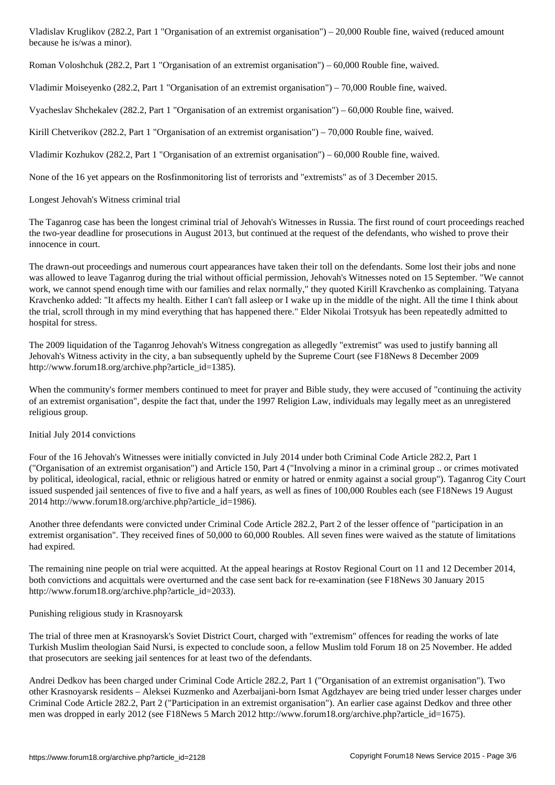Roman Voloshchuk (282.2, Part 1 "Organisation of an extremist organisation") – 60,000 Rouble fine, waived.

Vladimir Moiseyenko (282.2, Part 1 "Organisation of an extremist organisation") – 70,000 Rouble fine, waived.

Vyacheslav Shchekalev (282.2, Part 1 "Organisation of an extremist organisation") – 60,000 Rouble fine, waived.

Kirill Chetverikov (282.2, Part 1 "Organisation of an extremist organisation") – 70,000 Rouble fine, waived.

Vladimir Kozhukov (282.2, Part 1 "Organisation of an extremist organisation") – 60,000 Rouble fine, waived.

None of the 16 yet appears on the Rosfinmonitoring list of terrorists and "extremists" as of 3 December 2015.

Longest Jehovah's Witness criminal trial

because he is/was a minor).

The Taganrog case has been the longest criminal trial of Jehovah's Witnesses in Russia. The first round of court proceedings reached the two-year deadline for prosecutions in August 2013, but continued at the request of the defendants, who wished to prove their innocence in court.

The drawn-out proceedings and numerous court appearances have taken their toll on the defendants. Some lost their jobs and none was allowed to leave Taganrog during the trial without official permission, Jehovah's Witnesses noted on 15 September. "We cannot work, we cannot spend enough time with our families and relax normally," they quoted Kirill Kravchenko as complaining. Tatyana Kravchenko added: "It affects my health. Either I can't fall asleep or I wake up in the middle of the night. All the time I think about the trial, scroll through in my mind everything that has happened there." Elder Nikolai Trotsyuk has been repeatedly admitted to hospital for stress.

The 2009 liquidation of the Taganrog Jehovah's Witness congregation as allegedly "extremist" was used to justify banning all Jehovah's Witness activity in the city, a ban subsequently upheld by the Supreme Court (see F18News 8 December 2009 http://www.forum18.org/archive.php?article\_id=1385).

When the community's former members continued to meet for prayer and Bible study, they were accused of "continuing the activity of an extremist organisation", despite the fact that, under the 1997 Religion Law, individuals may legally meet as an unregistered religious group.

## Initial July 2014 convictions

Four of the 16 Jehovah's Witnesses were initially convicted in July 2014 under both Criminal Code Article 282.2, Part 1 ("Organisation of an extremist organisation") and Article 150, Part 4 ("Involving a minor in a criminal group .. or crimes motivated by political, ideological, racial, ethnic or religious hatred or enmity or hatred or enmity against a social group"). Taganrog City Court issued suspended jail sentences of five to five and a half years, as well as fines of 100,000 Roubles each (see F18News 19 August 2014 http://www.forum18.org/archive.php?article\_id=1986).

Another three defendants were convicted under Criminal Code Article 282.2, Part 2 of the lesser offence of "participation in an extremist organisation". They received fines of 50,000 to 60,000 Roubles. All seven fines were waived as the statute of limitations had expired.

The remaining nine people on trial were acquitted. At the appeal hearings at Rostov Regional Court on 11 and 12 December 2014, both convictions and acquittals were overturned and the case sent back for re-examination (see F18News 30 January 2015 http://www.forum18.org/archive.php?article\_id=2033).

Punishing religious study in Krasnoyarsk

The trial of three men at Krasnoyarsk's Soviet District Court, charged with "extremism" offences for reading the works of late Turkish Muslim theologian Said Nursi, is expected to conclude soon, a fellow Muslim told Forum 18 on 25 November. He added that prosecutors are seeking jail sentences for at least two of the defendants.

Andrei Dedkov has been charged under Criminal Code Article 282.2, Part 1 ("Organisation of an extremist organisation"). Two other Krasnoyarsk residents – Aleksei Kuzmenko and Azerbaijani-born Ismat Agdzhayev are being tried under lesser charges under Criminal Code Article 282.2, Part 2 ("Participation in an extremist organisation"). An earlier case against Dedkov and three other men was dropped in early 2012 (see F18News 5 March 2012 http://www.forum18.org/archive.php?article\_id=1675).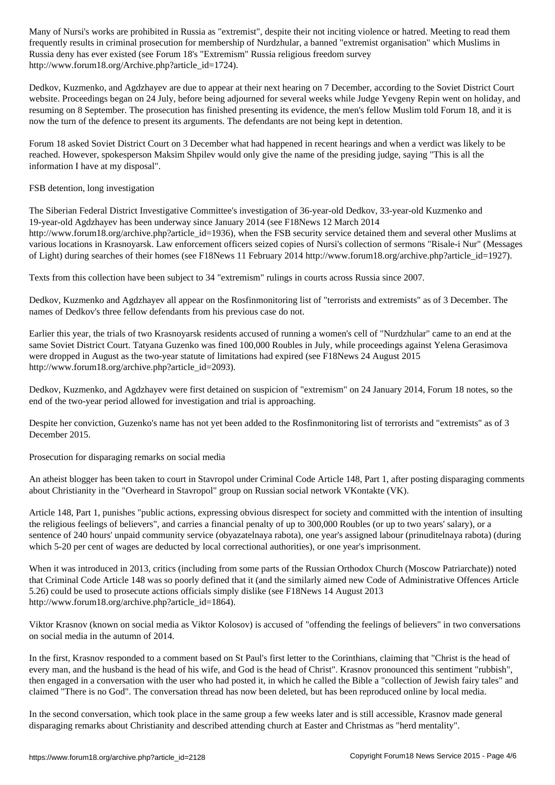frequently results in criminal prosecution for membership of Nurdzhular, a banned "extremist organisation" which Muslims in Russia deny has ever existed (see Forum 18's "Extremism" Russia religious freedom survey http://www.forum18.org/Archive.php?article\_id=1724).

Dedkov, Kuzmenko, and Agdzhayev are due to appear at their next hearing on 7 December, according to the Soviet District Court website. Proceedings began on 24 July, before being adjourned for several weeks while Judge Yevgeny Repin went on holiday, and resuming on 8 September. The prosecution has finished presenting its evidence, the men's fellow Muslim told Forum 18, and it is now the turn of the defence to present its arguments. The defendants are not being kept in detention.

Forum 18 asked Soviet District Court on 3 December what had happened in recent hearings and when a verdict was likely to be reached. However, spokesperson Maksim Shpilev would only give the name of the presiding judge, saying "This is all the information I have at my disposal".

FSB detention, long investigation

The Siberian Federal District Investigative Committee's investigation of 36-year-old Dedkov, 33-year-old Kuzmenko and 19-year-old Agdzhayev has been underway since January 2014 (see F18News 12 March 2014 http://www.forum18.org/archive.php?article\_id=1936), when the FSB security service detained them and several other Muslims at various locations in Krasnoyarsk. Law enforcement officers seized copies of Nursi's collection of sermons "Risale-i Nur" (Messages of Light) during searches of their homes (see F18News 11 February 2014 http://www.forum18.org/archive.php?article\_id=1927).

Texts from this collection have been subject to 34 "extremism" rulings in courts across Russia since 2007.

Dedkov, Kuzmenko and Agdzhayev all appear on the Rosfinmonitoring list of "terrorists and extremists" as of 3 December. The names of Dedkov's three fellow defendants from his previous case do not.

Earlier this year, the trials of two Krasnoyarsk residents accused of running a women's cell of "Nurdzhular" came to an end at the same Soviet District Court. Tatyana Guzenko was fined 100,000 Roubles in July, while proceedings against Yelena Gerasimova were dropped in August as the two-year statute of limitations had expired (see F18News 24 August 2015 http://www.forum18.org/archive.php?article\_id=2093).

Dedkov, Kuzmenko, and Agdzhayev were first detained on suspicion of "extremism" on 24 January 2014, Forum 18 notes, so the end of the two-year period allowed for investigation and trial is approaching.

Despite her conviction, Guzenko's name has not yet been added to the Rosfinmonitoring list of terrorists and "extremists" as of 3 December 2015.

Prosecution for disparaging remarks on social media

An atheist blogger has been taken to court in Stavropol under Criminal Code Article 148, Part 1, after posting disparaging comments about Christianity in the "Overheard in Stavropol" group on Russian social network VKontakte (VK).

Article 148, Part 1, punishes "public actions, expressing obvious disrespect for society and committed with the intention of insulting the religious feelings of believers", and carries a financial penalty of up to 300,000 Roubles (or up to two years' salary), or a sentence of 240 hours' unpaid community service (obyazatelnaya rabota), one year's assigned labour (prinuditelnaya rabota) (during which 5-20 per cent of wages are deducted by local correctional authorities), or one year's imprisonment.

When it was introduced in 2013, critics (including from some parts of the Russian Orthodox Church (Moscow Patriarchate)) noted that Criminal Code Article 148 was so poorly defined that it (and the similarly aimed new Code of Administrative Offences Article 5.26) could be used to prosecute actions officials simply dislike (see F18News 14 August 2013 http://www.forum18.org/archive.php?article\_id=1864).

Viktor Krasnov (known on social media as Viktor Kolosov) is accused of "offending the feelings of believers" in two conversations on social media in the autumn of 2014.

In the first, Krasnov responded to a comment based on St Paul's first letter to the Corinthians, claiming that "Christ is the head of every man, and the husband is the head of his wife, and God is the head of Christ". Krasnov pronounced this sentiment "rubbish", then engaged in a conversation with the user who had posted it, in which he called the Bible a "collection of Jewish fairy tales" and claimed "There is no God". The conversation thread has now been deleted, but has been reproduced online by local media.

In the second conversation, which took place in the same group a few weeks later and is still accessible, Krasnov made general disparaging remarks about Christianity and described attending church at Easter and Christmas as "herd mentality".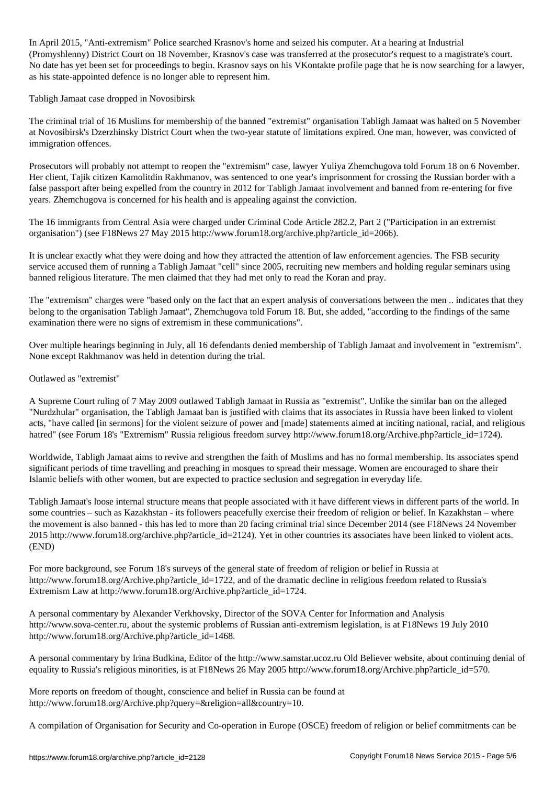In April 2015, "Anti-extremism" Police searched Krasnov's home and seized his computer. At a hearing at Industrial (Promyshlenny) District Court on 18 November, Krasnov's case was transferred at the prosecutor's request to a magistrate's court. No date has yet been set for proceedings to begin. Krasnov says on his VKontakte profile page that he is now searching for a lawyer, as his state-appointed defence is no longer able to represent him.

Tabligh Jamaat case dropped in Novosibirsk

The criminal trial of 16 Muslims for membership of the banned "extremist" organisation Tabligh Jamaat was halted on 5 November at Novosibirsk's Dzerzhinsky District Court when the two-year statute of limitations expired. One man, however, was convicted of immigration offences.

Prosecutors will probably not attempt to reopen the "extremism" case, lawyer Yuliya Zhemchugova told Forum 18 on 6 November. Her client, Tajik citizen Kamolitdin Rakhmanov, was sentenced to one year's imprisonment for crossing the Russian border with a false passport after being expelled from the country in 2012 for Tabligh Jamaat involvement and banned from re-entering for five years. Zhemchugova is concerned for his health and is appealing against the conviction.

The 16 immigrants from Central Asia were charged under Criminal Code Article 282.2, Part 2 ("Participation in an extremist organisation") (see F18News 27 May 2015 http://www.forum18.org/archive.php?article\_id=2066).

It is unclear exactly what they were doing and how they attracted the attention of law enforcement agencies. The FSB security service accused them of running a Tabligh Jamaat "cell" since 2005, recruiting new members and holding regular seminars using banned religious literature. The men claimed that they had met only to read the Koran and pray.

The "extremism" charges were "based only on the fact that an expert analysis of conversations between the men .. indicates that they belong to the organisation Tabligh Jamaat", Zhemchugova told Forum 18. But, she added, "according to the findings of the same examination there were no signs of extremism in these communications".

Over multiple hearings beginning in July, all 16 defendants denied membership of Tabligh Jamaat and involvement in "extremism". None except Rakhmanov was held in detention during the trial.

## Outlawed as "extremist"

A Supreme Court ruling of 7 May 2009 outlawed Tabligh Jamaat in Russia as "extremist". Unlike the similar ban on the alleged "Nurdzhular" organisation, the Tabligh Jamaat ban is justified with claims that its associates in Russia have been linked to violent acts, "have called [in sermons] for the violent seizure of power and [made] statements aimed at inciting national, racial, and religious hatred" (see Forum 18's "Extremism" Russia religious freedom survey http://www.forum18.org/Archive.php?article\_id=1724).

Worldwide, Tabligh Jamaat aims to revive and strengthen the faith of Muslims and has no formal membership. Its associates spend significant periods of time travelling and preaching in mosques to spread their message. Women are encouraged to share their Islamic beliefs with other women, but are expected to practice seclusion and segregation in everyday life.

Tabligh Jamaat's loose internal structure means that people associated with it have different views in different parts of the world. In some countries – such as Kazakhstan - its followers peacefully exercise their freedom of religion or belief. In Kazakhstan – where the movement is also banned - this has led to more than 20 facing criminal trial since December 2014 (see F18News 24 November 2015 http://www.forum18.org/archive.php?article\_id=2124). Yet in other countries its associates have been linked to violent acts. (END)

For more background, see Forum 18's surveys of the general state of freedom of religion or belief in Russia at http://www.forum18.org/Archive.php?article\_id=1722, and of the dramatic decline in religious freedom related to Russia's Extremism Law at http://www.forum18.org/Archive.php?article\_id=1724.

A personal commentary by Alexander Verkhovsky, Director of the SOVA Center for Information and Analysis http://www.sova-center.ru, about the systemic problems of Russian anti-extremism legislation, is at F18News 19 July 2010 http://www.forum18.org/Archive.php?article\_id=1468.

A personal commentary by Irina Budkina, Editor of the http://www.samstar.ucoz.ru Old Believer website, about continuing denial of equality to Russia's religious minorities, is at F18News 26 May 2005 http://www.forum18.org/Archive.php?article\_id=570.

More reports on freedom of thought, conscience and belief in Russia can be found at http://www.forum18.org/Archive.php?query=&religion=all&country=10.

A compilation of Organisation for Security and Co-operation in Europe (OSCE) freedom of religion or belief commitments can be